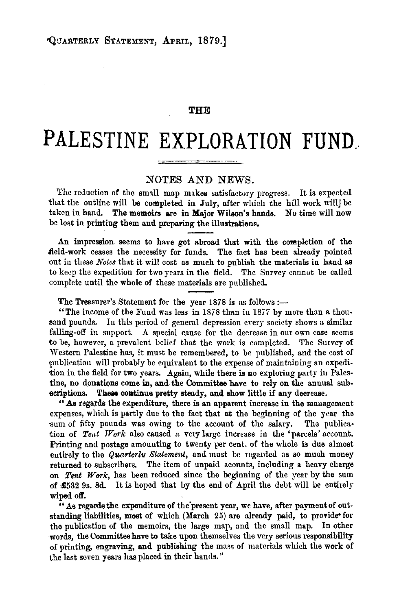## **THE**

## **PALESTINE EXPLORATION FUND.**

## NOTES AND NEWS.

The reduction of the small map makes satisfactory progress. It is expected that the outline will be completed in July, after which the hill work will be taken in hand. The memoirs are in Major Wilson's hands. No time will now be lost in printing them and preparing the illustratiens.

An impression seems to have got abroad that with the completion of the field-work ceases the necessity for funds. The fact has been already pointed out in these *Notes* that it will cost as much to publish the materials in hand as to keep the expedition for two years in the field. The Survey cannot be called complete until the whole of these materials are published.

The Treasurer's Statement for the year 1878 is as follows :-

"The income of the Fund was less in 1878 than in 1877 by more than a thousand pounds. In this period of general depression every society shows a similar falling-off in support. A special cause for the decrease in our own case seems to be, however, a prevalent belief that the work is completed. The Survey of Western Palestine has, it must be remembered, to be published, and the cost of publication will probably be equivalent to the expense of maintaining an expedition in the field for two years. Again, while there is no exploring party iu Palestine, no donations come in, and the Committee have to rely on the annual sub· scriptions. These continue pretty steady, and show little if any decrease.

"As regards the expenditure, there is an apparent increase in the management expenses, which is partly due to the fact that at the beginning of the year the sum of fifty pounds was owing to the account of the salary. The publication of *Tent TVork* also caused a very large increase in the 'parcels' account. Printing and postage amounting to twenty per cent. of the whole is due almost entirely to the *Quarterly Statement,* and must be regarded as so much money returned to subscribers. The item of unpaid acounts, including a heavy charge on *Tent Work,* has been reduced since the beginning of the year by the sum of £532 9s. 8d. It is hoped that by the end of April the debt will be entirely wiped off.

" As regards the expenditure of the present year, we have, after payment of outstanding liabilities, most of which (March 25) are already paid, to provide for the publication of the memoirs, the large map, and the small map. In other words, the Committee have to take upon themselves the very serious responsibility of printing, engraving, and publishing the mass of materials which the work of the last seven years has placed in their hands."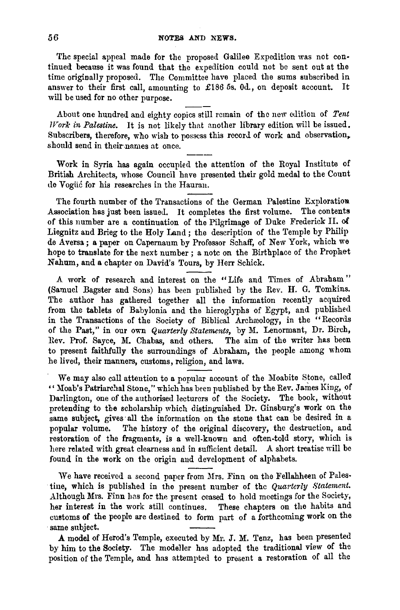The special appeal made for the proposed Galilee Expedition was not continued because it was found that the expedition could not be sent out at the time originally proposed. The Committee have placed the sums subscribed in answer to their first call, amounting to £186 5s. 0d., on deposit account. It will be used for no other purpose.

About one hundred and eighty copics still remain of the new edition of Tent *Work in Palestine.* It is not likely that another library edition will be issued. Subscribers, therefore, who wish to possess this record of work and observation, should send in their names at once.

Work in Syria has again occupied the attention of the Royal Institute of British Architects, whose Council have presented their gold medal to the Count de Yogiie for his researches in the Hauran.

The fourth number of the Transactions of the German Palestine Exploration Association has just been issued. It completes the first volume. The contents of this number are a continuation of the Pilgrimage of Duke Frederick 11. oi Liegnitz and Brieg to the Holy Land ; the description of the Temple by Philip de A versa; a paper on Capernaum by Professor Schaff, of New York, which we hope to translate for the next number; a note on the Birthplace of the Prophet Nahum, and a chapter on David's Tours, by Herr Schick.

*A* work of research and interest on the "Life and Times of Abraham " (Samuel Bagster and Sons) has been published by the Rev. H. G. Tomkins. The author has gathered together all the information recently acquired from the tablets of Babylonia and the hieroglyphs of Egypt, and published in the Transactions of the Society of Biblical Archreology, in the "Records of the Past," in our own *Quarterly Statements,* by M. Lenormant, Dr. Birch, Rev. Prof. Sayce, M. Chabas, and others. The aim of the writer has been to present faithfully the surroundings of Abraham, the people among whom he lived, their manners, customs, religion, and laws.

We may also call attention to a popular account of the Moabite Stone, called " Moab's Patriarchal Stone," which has been published by the Rev. James King, of Darlington, one of the authorised lecturers of the Society. The book, without pretending to tbe scholarship wbich distinguished Dr. Ginsburg's work on the same subject, gives· all the information on the stone that can be desired in a popular volume. The history of the original discovery, the destruction, and restoration of the fragments, is a well-known and often-told story, which is here related with great clearness and in sufficient detail. A short treatise will be found in the work on tbe origin and development of alphabets.

We have received a second paper from Mrs. Finn on the Fellahheen of Palestine, which is published in the present number of the *Quarterly Statement*. Although Mrs. Finn has for the present ceased to hold meetings for the Society, her interest in the work still continues. These chapters on the habits and customs of the people are destined to form part of a forthcoming work on the same subject.

A model of Herod's Temple, executed by Mr. J. M. Tenz, has been presented by him to the Society. The modeller has adopted the traditional view of the position of tbe Temple, and has attempted to present a restoration of all the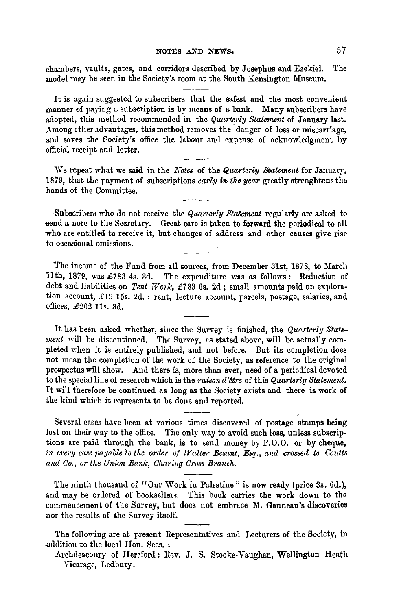chambers, vaults, gates, and corridors described by Josephus and Ezekiel. The model may be seen in the Society's room at the South Kensington Museum.

It is again suggested to subscribers that the safest and the most convenient manner of paying a subscription is by means of a bank. Many subscribers have adopted, this method recommended in the *Quarterly Statement* of January last. Among ether advantages, this method removes the danger of loss or miscarriage. and saves the Society's office the labour and expense of acknowledgment by official receipt and letter.

We repeat what we said in the *Notes* of the *Quarterly Statement* for January, 1879, that the payment of subscriptions *carly in the year* greatly strenghtens the hands of the Committee.

Subscribers who do not receive the *Quarterly Statement* regularly are asked to send a note to the Secretary. Great care is taken to forward the periodical to all who are entitled to receive it, but changes of address and other causes give rise to occasional omissions.

"The income of the Fund from all sources, from December 31st, 1878, to March 11th, 1879, was £783 4s. 3d. The expenditure was as follows :--Reduction of debt and liabilities on *Tent Work*, £783 6s. 2d; small amounts paid on exploration account, £19 15s. 2d. ; rent, lecture account, parcels, postage, salaries, and offices,  $£202$  11s. 3d.

It has been asked whether, since the Survey is finished, the *Quarterly State rent* will be discontinued. The Survey, as stated above, will be actually completed when it is entirely published, and not before. But its completion does not mean the completion of the work of the Society, as reference to the original prospectus will show. And there is, more than ever, need of a periodical devoted to the special line of research which is the *raison d'être* of this *Quarterly Statement*. It will therefore be eontinued as long as the Society exists and there is work of the kind which it represents to be done and reported.

Several cases have been at various times discovered of postage stamps being lost on their way to the office. The only way to avoid such loss, unless subscriptions are paid through the bank, is to send money by P.O.O. or by cheque, *in every case payable 1o the order of* TV *alter Besant, Esq., and crossed to Coutts*  and *Co., or the Union Bank, Charing Cross Branch.* 

The ninth thousand of "Our Work in Palestine" is now ready (price 3s. 6d.), and may be ordered of booksellers. This book carries the work down to the commencement of the Survey, but does not embrace M. Ganneau's discoveries nor the results of the Survey itself.

The following are at present Representatives and Lecturers of the Society, in addition to the local Hon. Secs. :-

Archdeaconry of Hereford: Rev. J. S. Stooke-Vaughan, Wellington Heath Vicarage, Ledbury.